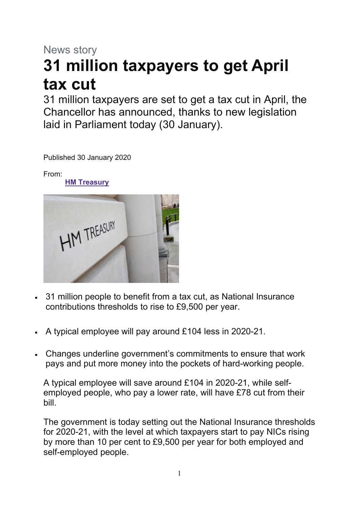## News story **31 million taxpayers to get April tax cut**

31 million taxpayers are set to get a tax cut in April, the Chancellor has announced, thanks to new legislation laid in Parliament today (30 January).

Published 30 January 2020

From:

**HM [Treasury](https://www.gov.uk/government/organisations/hm-treasury)**



- 31 million people to benefit from a tax cut, as National Insurance contributions thresholds to rise to £9,500 per year.
- A typical employee will pay around £104 less in 2020-21.
- Changes underline government's commitments to ensure that work pays and put more money into the pockets of hard-working people.

A typical employee will save around £104 in 2020-21, while selfemployed people, who pay a lower rate, will have £78 cut from their bill.

The government is today setting out the National Insurance thresholds for 2020-21, with the level at which taxpayers start to pay NICs rising by more than 10 per cent to £9,500 per year for both employed and self-employed people.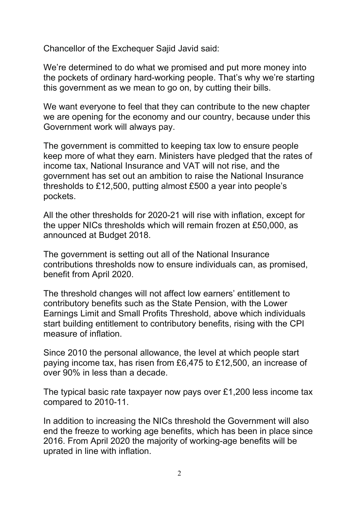Chancellor of the Exchequer Sajid Javid said:

We're determined to do what we promised and put more money into the pockets of ordinary hard-working people. That's why we're starting this government as we mean to go on, by cutting their bills.

We want everyone to feel that they can contribute to the new chapter we are opening for the economy and our country, because under this Government work will always pay.

The government is committed to keeping tax low to ensure people keep more of what they earn. Ministers have pledged that the rates of income tax, National Insurance and VAT will not rise, and the government has set out an ambition to raise the National Insurance thresholds to £12,500, putting almost £500 a year into people's pockets.

All the other thresholds for 2020-21 will rise with inflation, except for the upper NICs thresholds which will remain frozen at £50,000, as announced at Budget 2018.

The government is setting out all of the National Insurance contributions thresholds now to ensure individuals can, as promised, benefit from April 2020.

The threshold changes will not affect low earners' entitlement to contributory benefits such as the State Pension, with the Lower Earnings Limit and Small Profits Threshold, above which individuals start building entitlement to contributory benefits, rising with the CPI measure of inflation.

Since 2010 the personal allowance, the level at which people start paying income tax, has risen from £6,475 to £12,500, an increase of over 90% in less than a decade.

The typical basic rate taxpayer now pays over £1,200 less income tax compared to 2010-11.

In addition to increasing the NICs threshold the Government will also end the freeze to working age benefits, which has been in place since 2016. From April 2020 the majority of working-age benefits will be uprated in line with inflation.